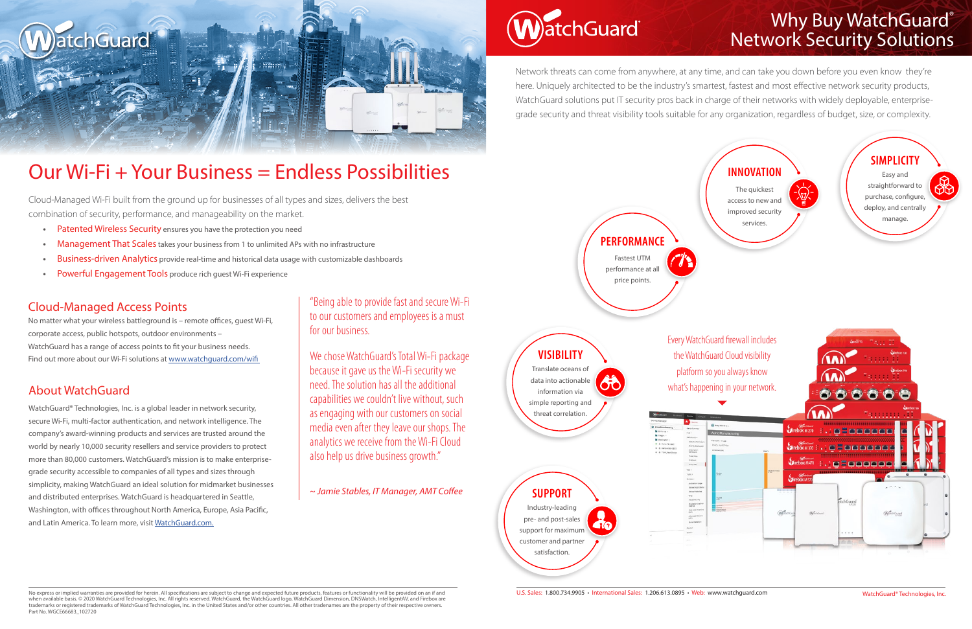Network threats can come from anywhere, at any time, and can take you down before you even know they're here. Uniquely architected to be the industry's smartest, fastest and most effective network security products, WatchGuard solutions put IT security pros back in charge of their networks with widely deployable, enterprisegrade security and threat visibility tools suitable for any organization, regardless of budget, size, or complexity.



## Why Buy WatchGuard® Network Security Solutions

Every WatchGuard firewall includes



No express or implied warranties are provided for herein. All specifications are subject to change and expected future products, features or functionality will be provided on an if and when available basis. © 2020 WatchGuard Technologies, Inc. All rights reserved. WatchGuard, the WatchGuard logo, WatchGuard Dimension, DNSWatch, IntelligentAV, and Firebox are trademarks or registered trademarks of WatchGuard Technologies, Inc. in the United States and/or other countries. All other tradenames are the property of their respective owners. Part No. WGCE66683\_102720

"Being able to provide fast and secure Wi-Fi to our customers and employees is a must for our business.

WatchGuard<sup>®</sup> Technologies, Inc. is a global leader in network security, secure Wi-Fi, multi-factor authentication, and network intelligence. The company's award-winning products and services are trusted around the world by nearly 10,000 security resellers and service providers to protect more than 80,000 customers. WatchGuard's mission is to make enterprisegrade security accessible to companies of all types and sizes through simplicity, making WatchGuard an ideal solution for midmarket businesses and distributed enterprises. WatchGuard is headquartered in Seattle, Washington, with offices throughout North America, Europe, Asia Pacific, and Latin America. To learn more, visit WatchGuard.com.

We chose WatchGuard's Total Wi-Fi package because it gave us the Wi-Fi security we need. The solution has all the additional capabilities we couldn't live without, such as engaging with our customers on social media even after they leave our shops. The analytics we receive from the Wi-Fi Cloud also help us drive business growth."

*~ Jamie Stables, IT Manager, AMT Coffee*



## Cloud-Managed Access Points

No matter what your wireless battleground is – remote offices, guest Wi-Fi, corporate access, public hotspots, outdoor environments – WatchGuard has a range of access points to fit your business needs. Find out more about our Wi-Fi solutions at www.watchguard.com/wifi

## About WatchGuard



# Our Wi-Fi + Your Business = Endless Possibilities

Cloud-Managed Wi-Fi built from the ground up for businesses of all types and sizes, delivers the best combination of security, performance, and manageability on the market.

- **•** Patented Wireless Security ensures you have the protection you need
- Management That Scales takes your business from 1 to unlimited APs with no infrastructure
- Business-driven Analytics provide real-time and historical data usage with customizable dashboards
- **•** Powerful Engagement Tools produce rich guest Wi-Fi experience

U.S. Sales: 1.800.734.9905 • International Sales: 1.206.613.0895 • Web: www.watchguard.com

Industry-leading pre- and post-sales support for maximum customer and partner satisfaction.

Translate oceans of data into actionable information via simple reporting and threat correlation.



Fastest UTM performance at all price points.

**SUPPORT**

**VISIBILITY**

**PERFORMANCE**